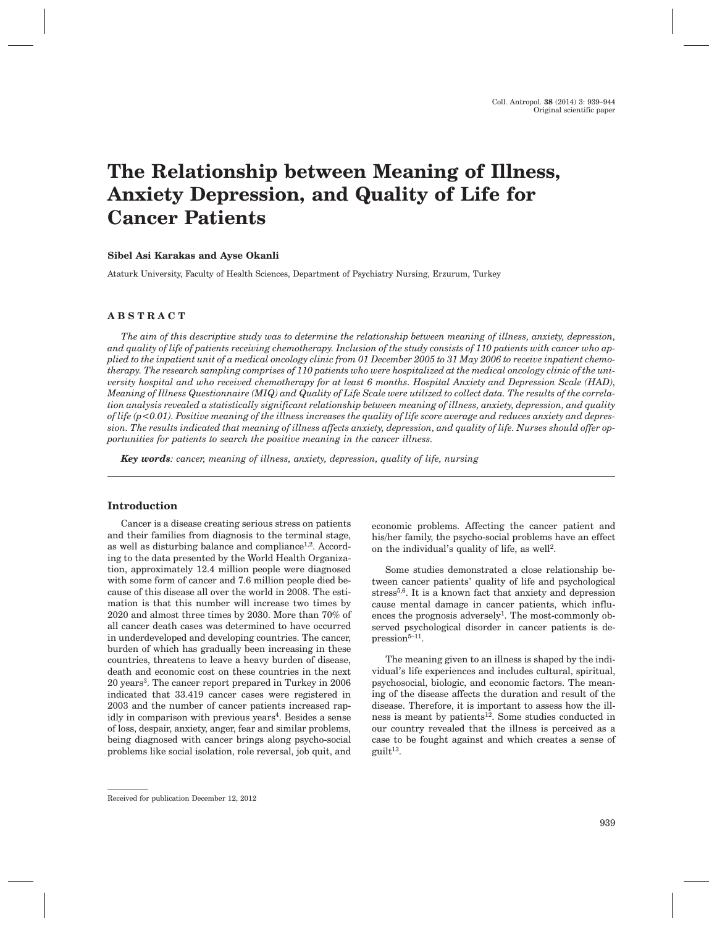# **The Relationship between Meaning of Illness, Anxiety Depression, and Quality of Life for Cancer Patients**

## **Sibel Asi Karakas and Ayse Okanli**

Ataturk University, Faculty of Health Sciences, Department of Psychiatry Nursing, Erzurum, Turkey

# **ABSTRACT**

*The aim of this descriptive study was to determine the relationship between meaning of illness, anxiety, depression, and quality of life of patients receiving chemotherapy. Inclusion of the study consists of 110 patients with cancer who applied to the inpatient unit of a medical oncology clinic from 01 December 2005 to 31 May 2006 to receive inpatient chemotherapy. The research sampling comprises of 110 patients who were hospitalized at the medical oncology clinic of the university hospital and who received chemotherapy for at least 6 months. Hospital Anxiety and Depression Scale (HAD), Meaning of Illness Questionnaire (MIQ) and Quality of Life Scale were utilized to collect data. The results of the correlation analysis revealed a statistically significant relationship between meaning of illness, anxiety, depression, and quality of life (p<0.01). Positive meaning of the illness increases the quality of life score average and reduces anxiety and depression. The results indicated that meaning of illness affects anxiety, depression, and quality of life. Nurses should offer opportunities for patients to search the positive meaning in the cancer illness.*

*Key words: cancer, meaning of illness, anxiety, depression, quality of life, nursing*

## **Introduction**

Cancer is a disease creating serious stress on patients and their families from diagnosis to the terminal stage, as well as disturbing balance and compliance<sup>1,2</sup>. According to the data presented by the World Health Organization, approximately 12.4 million people were diagnosed with some form of cancer and 7.6 million people died because of this disease all over the world in 2008. The estimation is that this number will increase two times by 2020 and almost three times by 2030. More than 70% of all cancer death cases was determined to have occurred in underdeveloped and developing countries. The cancer, burden of which has gradually been increasing in these countries, threatens to leave a heavy burden of disease, death and economic cost on these countries in the next 20 years3. The cancer report prepared in Turkey in 2006 indicated that 33.419 cancer cases were registered in 2003 and the number of cancer patients increased rapidly in comparison with previous years<sup>4</sup>. Besides a sense of loss, despair, anxiety, anger, fear and similar problems, being diagnosed with cancer brings along psycho-social problems like social isolation, role reversal, job quit, and

Some studies demonstrated a close relationship between cancer patients' quality of life and psychological stress<sup>5,6</sup>. It is a known fact that anxiety and depression cause mental damage in cancer patients, which influences the prognosis adversely<sup>1</sup>. The most-commonly observed psychological disorder in cancer patients is de $presion<sup>5-11</sup>$ .

The meaning given to an illness is shaped by the individual's life experiences and includes cultural, spiritual, psychosocial, biologic, and economic factors. The meaning of the disease affects the duration and result of the disease. Therefore, it is important to assess how the illness is meant by patients<sup>12</sup>. Some studies conducted in our country revealed that the illness is perceived as a case to be fought against and which creates a sense of  $g$ uilt $13$ .

economic problems. Affecting the cancer patient and his/her family, the psycho-social problems have an effect on the individual's quality of life, as well<sup>2</sup>.

Received for publication December 12, 2012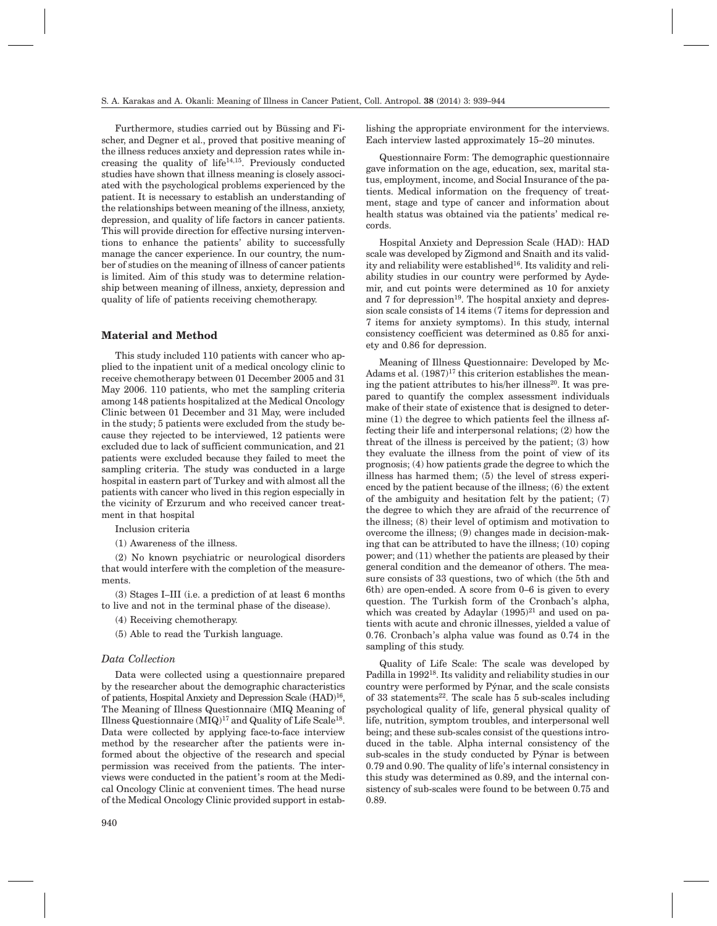Furthermore, studies carried out by Büssing and Fischer, and Degner et al., proved that positive meaning of the illness reduces anxiety and depression rates while increasing the quality of  $life<sup>14,15</sup>$ . Previously conducted studies have shown that illness meaning is closely associated with the psychological problems experienced by the patient. It is necessary to establish an understanding of the relationships between meaning of the illness, anxiety, depression, and quality of life factors in cancer patients. This will provide direction for effective nursing interventions to enhance the patients' ability to successfully manage the cancer experience. In our country, the number of studies on the meaning of illness of cancer patients is limited. Aim of this study was to determine relationship between meaning of illness, anxiety, depression and quality of life of patients receiving chemotherapy.

# **Material and Method**

This study included 110 patients with cancer who applied to the inpatient unit of a medical oncology clinic to receive chemotherapy between 01 December 2005 and 31 May 2006. 110 patients, who met the sampling criteria among 148 patients hospitalized at the Medical Oncology Clinic between 01 December and 31 May, were included in the study; 5 patients were excluded from the study because they rejected to be interviewed, 12 patients were excluded due to lack of sufficient communication, and 21 patients were excluded because they failed to meet the sampling criteria. The study was conducted in a large hospital in eastern part of Turkey and with almost all the patients with cancer who lived in this region especially in the vicinity of Erzurum and who received cancer treatment in that hospital

Inclusion criteria

(1) Awareness of the illness.

(2) No known psychiatric or neurological disorders that would interfere with the completion of the measurements.

(3) Stages I–III (i.e. a prediction of at least 6 months to live and not in the terminal phase of the disease).

(4) Receiving chemotherapy.

(5) Able to read the Turkish language.

## *Data Collection*

Data were collected using a questionnaire prepared by the researcher about the demographic characteristics of patients, Hospital Anxiety and Depression Scale (HAD)<sup>16</sup>, The Meaning of Illness Questionnaire (MIQ Meaning of Illness Questionnaire  $(MIQ)^{17}$  and Quality of Life Scale<sup>18</sup>. Data were collected by applying face-to-face interview method by the researcher after the patients were informed about the objective of the research and special permission was received from the patients. The interviews were conducted in the patient's room at the Medical Oncology Clinic at convenient times. The head nurse of the Medical Oncology Clinic provided support in establishing the appropriate environment for the interviews. Each interview lasted approximately 15–20 minutes.

Questionnaire Form: The demographic questionnaire gave information on the age, education, sex, marital status, employment, income, and Social Insurance of the patients. Medical information on the frequency of treatment, stage and type of cancer and information about health status was obtained via the patients' medical records.

Hospital Anxiety and Depression Scale (HAD): HAD scale was developed by Zigmond and Snaith and its validity and reliability were established<sup>16</sup>. Its validity and reliability studies in our country were performed by Aydemir, and cut points were determined as 10 for anxiety and  $7$  for depression<sup>19</sup>. The hospital anxiety and depression scale consists of 14 items (7 items for depression and 7 items for anxiety symptoms). In this study, internal consistency coefficient was determined as 0.85 for anxiety and 0.86 for depression.

Meaning of Illness Questionnaire: Developed by Mc-Adams et al.  $(1987)^{17}$  this criterion establishes the meaning the patient attributes to his/her illness<sup>20</sup>. It was prepared to quantify the complex assessment individuals make of their state of existence that is designed to determine (1) the degree to which patients feel the illness affecting their life and interpersonal relations; (2) how the threat of the illness is perceived by the patient; (3) how they evaluate the illness from the point of view of its prognosis; (4) how patients grade the degree to which the illness has harmed them; (5) the level of stress experienced by the patient because of the illness; (6) the extent of the ambiguity and hesitation felt by the patient; (7) the degree to which they are afraid of the recurrence of the illness; (8) their level of optimism and motivation to overcome the illness; (9) changes made in decision-making that can be attributed to have the illness; (10) coping power; and (11) whether the patients are pleased by their general condition and the demeanor of others. The measure consists of 33 questions, two of which (the 5th and 6th) are open-ended. A score from 0–6 is given to every question. The Turkish form of the Cronbach's alpha, which was created by Adaylar  $(1995)^{21}$  and used on patients with acute and chronic illnesses, yielded a value of 0.76. Cronbach's alpha value was found as 0.74 in the sampling of this study.

Quality of Life Scale: The scale was developed by Padilla in 199218. Its validity and reliability studies in our country were performed by Pýnar, and the scale consists of 33 statements<sup>22</sup>. The scale has 5 sub-scales including psychological quality of life, general physical quality of life, nutrition, symptom troubles, and interpersonal well being; and these sub-scales consist of the questions introduced in the table. Alpha internal consistency of the sub-scales in the study conducted by Pýnar is between 0.79 and 0.90. The quality of life's internal consistency in this study was determined as 0.89, and the internal consistency of sub-scales were found to be between 0.75 and 0.89.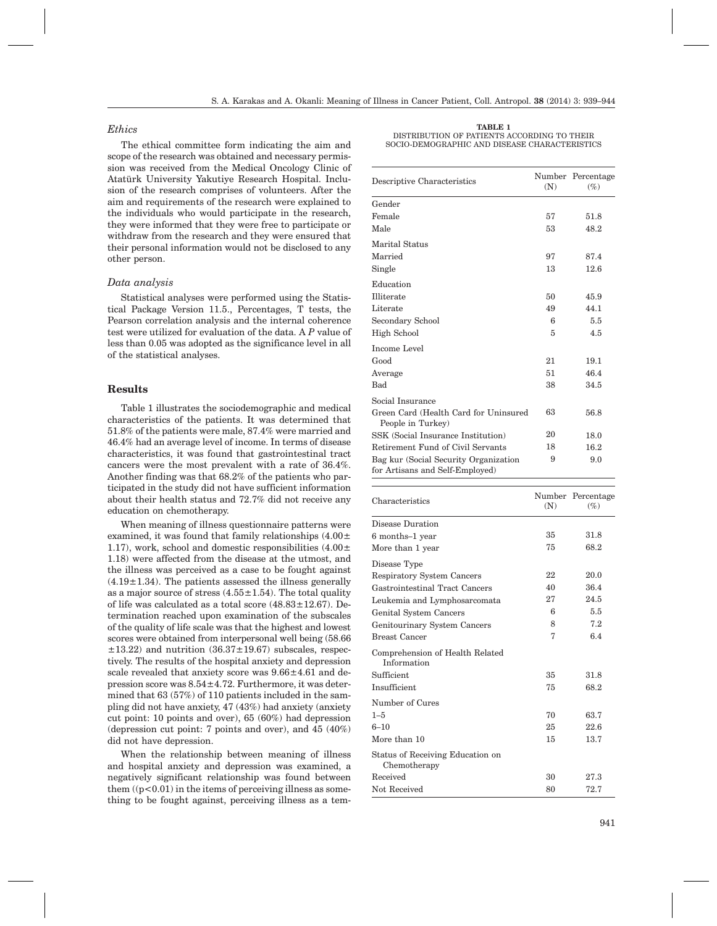## *Ethics*

The ethical committee form indicating the aim and scope of the research was obtained and necessary permission was received from the Medical Oncology Clinic of Atatürk University Yakutiye Research Hospital. Inclusion of the research comprises of volunteers. After the aim and requirements of the research were explained to the individuals who would participate in the research, they were informed that they were free to participate or withdraw from the research and they were ensured that their personal information would not be disclosed to any other person.

## *Data analysis*

Statistical analyses were performed using the Statistical Package Version 11.5., Percentages, T tests, the Pearson correlation analysis and the internal coherence test were utilized for evaluation of the data. A *P* value of less than 0.05 was adopted as the significance level in all of the statistical analyses.

### **Results**

Table 1 illustrates the sociodemographic and medical characteristics of the patients. It was determined that 51.8% of the patients were male, 87.4% were married and 46.4% had an average level of income. In terms of disease characteristics, it was found that gastrointestinal tract cancers were the most prevalent with a rate of 36.4%. Another finding was that 68.2% of the patients who participated in the study did not have sufficient information about their health status and 72.7% did not receive any education on chemotherapy.

When meaning of illness questionnaire patterns were examined, it was found that family relationships  $(4.00\pm$ 1.17), work, school and domestic responsibilities  $(4.00\pm$ 1.18) were affected from the disease at the utmost, and the illness was perceived as a case to be fought against  $(4.19\pm1.34)$ . The patients assessed the illness generally as a major source of stress  $(4.55 \pm 1.54)$ . The total quality of life was calculated as a total score  $(48.83 \pm 12.67)$ . Determination reached upon examination of the subscales of the quality of life scale was that the highest and lowest scores were obtained from interpersonal well being (58.66  $\pm$ 13.22) and nutrition (36.37 $\pm$ 19.67) subscales, respectively. The results of the hospital anxiety and depression scale revealed that anxiety score was 9.66±4.61 and depression score was 8.54±4.72. Furthermore, it was determined that 63 (57%) of 110 patients included in the sampling did not have anxiety, 47 (43%) had anxiety (anxiety cut point: 10 points and over), 65 (60%) had depression (depression cut point: 7 points and over), and 45 (40%) did not have depression.

When the relationship between meaning of illness and hospital anxiety and depression was examined, a negatively significant relationship was found between them  $((p<0.01)$  in the items of perceiving illness as something to be fought against, perceiving illness as a tem-

| TABLE 1                                       |
|-----------------------------------------------|
| DISTRIBUTION OF PATIENTS ACCORDING TO THEIR   |
| SOCIO-DEMOGRAPHIC AND DISEASE CHARACTERISTICS |

| Descriptive Characteristics                                              | (N) | Number Percentage<br>$(\%)$ |  |
|--------------------------------------------------------------------------|-----|-----------------------------|--|
| Gender                                                                   |     |                             |  |
| Female                                                                   | 57  | 51.8                        |  |
| Male                                                                     | 53  | 48.2                        |  |
| Marital Status                                                           |     |                             |  |
| Married                                                                  | 97  | 87.4                        |  |
| Single                                                                   | 13  | 12.6                        |  |
| Education                                                                |     |                             |  |
| Illiterate                                                               | 50  | 45.9                        |  |
| Literate                                                                 | 49  | 44.1                        |  |
| Secondary School                                                         | 6   | 5.5                         |  |
| High School                                                              | 5   | 4.5                         |  |
| Income Level                                                             |     |                             |  |
| Good                                                                     | 21  | 19.1                        |  |
| Average                                                                  | 51  | 46.4                        |  |
| Bad                                                                      | 38  | 34.5                        |  |
| Social Insurance                                                         |     |                             |  |
| Green Card (Health Card for Uninsured<br>People in Turkey)               | 63  | 56.8                        |  |
| SSK (Social Insurance Institution)                                       | 20  | 18.0                        |  |
| Retirement Fund of Civil Servants                                        | 18  | 16.2                        |  |
| Bag kur (Social Security Organization<br>for Artisans and Self-Employed) | 9   | 9.0                         |  |

| Characteristics                                  | (N) | Number Percentage<br>$(\%)$ |  |
|--------------------------------------------------|-----|-----------------------------|--|
| Disease Duration                                 |     |                             |  |
| 6 months-1 year                                  | 35  | 31.8                        |  |
| More than 1 year                                 | 75  | 68.2                        |  |
| Disease Type                                     |     |                             |  |
| <b>Respiratory System Cancers</b>                | 22  | 20.0                        |  |
| Gastrointestinal Tract Cancers                   | 40  | 36.4                        |  |
| Leukemia and Lymphosarcomata                     | 27  | 24.5                        |  |
| Genital System Cancers                           | 6   | 5.5                         |  |
| Genitourinary System Cancers                     | 8   | 7.2                         |  |
| <b>Breast Cancer</b>                             | 7   | 6.4                         |  |
| Comprehension of Health Related<br>Information   |     |                             |  |
| Sufficient                                       | 35  | 31.8                        |  |
| Insufficient                                     | 75  | 68.2                        |  |
| Number of Cures                                  |     |                             |  |
| $1 - 5$                                          | 70  | 63.7                        |  |
| $6 - 10$                                         | 25  | 22.6                        |  |
| More than 10                                     | 15  | 13.7                        |  |
| Status of Receiving Education on<br>Chemotherapy |     |                             |  |
| Received                                         | 30  | 27.3                        |  |
| Not Received                                     | 80  | 72.7                        |  |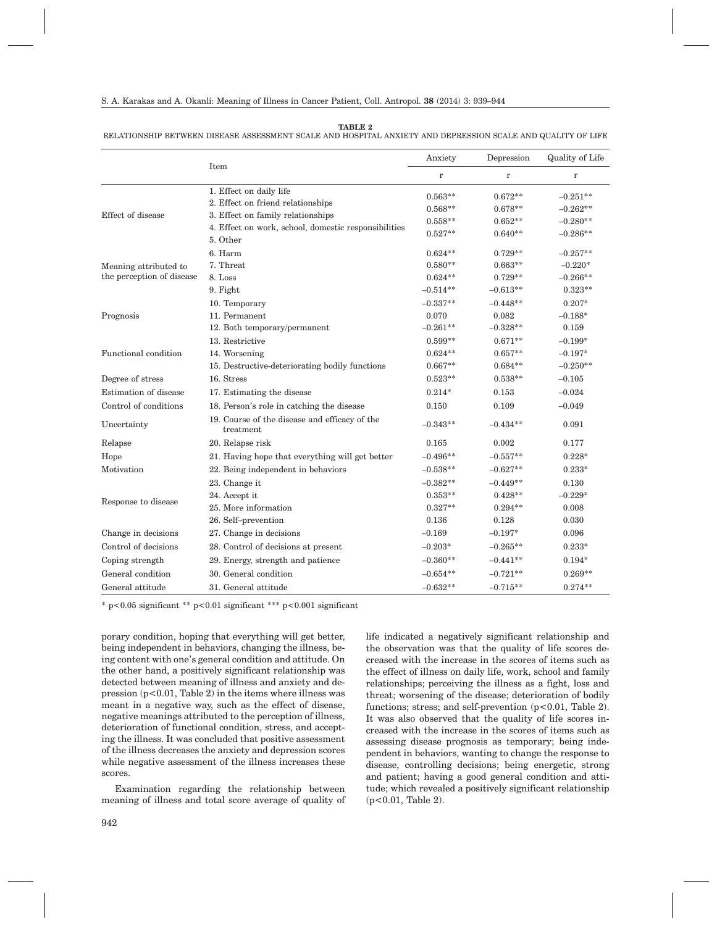#### RELATIONSHIP BETWEEN DISEASE ASSESSMENT SCALE AND HOSPITAL ANXIETY AND DEPRESSION SCALE AND QUALITY OF LIFE

|                           | Item                                                       | Anxiety    | Depression | Quality of Life |
|---------------------------|------------------------------------------------------------|------------|------------|-----------------|
|                           |                                                            | $\bf r$    | $\bf r$    | $\bf r$         |
|                           | 1. Effect on daily life                                    | $0.563**$  | $0.672**$  | $-0.251**$      |
|                           | 2. Effect on friend relationships                          | $0.568**$  | $0.678**$  | $-0.262**$      |
| Effect of disease         | 3. Effect on family relationships                          | $0.558**$  | $0.652**$  | $-0.280**$      |
|                           | 4. Effect on work, school, domestic responsibilities       | $0.527**$  | $0.640**$  | $-0.286**$      |
|                           | 5. Other                                                   |            |            |                 |
|                           | 6. Harm                                                    | $0.624**$  | $0.729**$  | $-0.257**$      |
| Meaning attributed to     | 7. Threat                                                  | $0.580**$  | $0.663**$  | $-0.220*$       |
| the perception of disease | 8. Loss                                                    | $0.624**$  | $0.729**$  | $-0.266**$      |
|                           | 9. Fight                                                   | $-0.514**$ | $-0.613**$ | $0.323**$       |
| Prognosis                 | 10. Temporary                                              | $-0.337**$ | $-0.448**$ | $0.207*$        |
|                           | 11. Permanent                                              | 0.070      | 0.082      | $-0.188*$       |
|                           | 12. Both temporary/permanent                               | $-0.261**$ | $-0.328**$ | 0.159           |
|                           | 13. Restrictive                                            | $0.599**$  | $0.671**$  | $-0.199*$       |
| Functional condition      | 14. Worsening                                              | $0.624**$  | $0.657**$  | $-0.197*$       |
|                           | 15. Destructive-deteriorating bodily functions             | $0.667**$  | $0.684**$  | $-0.250**$      |
| Degree of stress          | 16. Stress                                                 | $0.523**$  | $0.538**$  | $-0.105$        |
| Estimation of disease     | 17. Estimating the disease                                 | $0.214*$   | 0.153      | $-0.024$        |
| Control of conditions     | 18. Person's role in catching the disease                  | 0.150      | 0.109      | $-0.049$        |
| Uncertainty               | 19. Course of the disease and efficacy of the<br>treatment | $-0.343**$ | $-0.434**$ | 0.091           |
| Relapse                   | 20. Relapse risk                                           | 0.165      | 0.002      | 0.177           |
| Hope                      | 21. Having hope that everything will get better            | $-0.496**$ | $-0.557**$ | $0.228*$        |
| Motivation                | 22. Being independent in behaviors                         | $-0.538**$ | $-0.627**$ | $0.233*$        |
| Response to disease       | 23. Change it                                              | $-0.382**$ | $-0.449**$ | 0.130           |
|                           | 24. Accept it                                              | $0.353**$  | $0.428**$  | $-0.229*$       |
|                           | 25. More information                                       | $0.327**$  | $0.294**$  | 0.008           |
|                           | 26. Self-prevention                                        | 0.136      | 0.128      | 0.030           |
| Change in decisions       | 27. Change in decisions                                    | $-0.169$   | $-0.197*$  | 0.096           |
| Control of decisions      | 28. Control of decisions at present                        | $-0.203*$  | $-0.265**$ | $0.233*$        |
| Coping strength           | 29. Energy, strength and patience                          | $-0.360**$ | $-0.441**$ | $0.194*$        |
| General condition         | 30. General condition                                      | $-0.654**$ | $-0.721**$ | $0.269**$       |
| General attitude          | 31. General attitude                                       | $-0.632**$ | $-0.715**$ | $0.274**$       |

\* p<0.05 significant \*\* p<0.01 significant \*\*\* p<0.001 significant

porary condition, hoping that everything will get better, being independent in behaviors, changing the illness, being content with one's general condition and attitude. On the other hand, a positively significant relationship was detected between meaning of illness and anxiety and depression  $(p<0.01$ , Table 2) in the items where illness was meant in a negative way, such as the effect of disease, negative meanings attributed to the perception of illness, deterioration of functional condition, stress, and accepting the illness. It was concluded that positive assessment of the illness decreases the anxiety and depression scores while negative assessment of the illness increases these scores.

Examination regarding the relationship between meaning of illness and total score average of quality of life indicated a negatively significant relationship and the observation was that the quality of life scores decreased with the increase in the scores of items such as the effect of illness on daily life, work, school and family relationships; perceiving the illness as a fight, loss and threat; worsening of the disease; deterioration of bodily functions; stress; and self-prevention (p<0.01, Table 2). It was also observed that the quality of life scores increased with the increase in the scores of items such as assessing disease prognosis as temporary; being independent in behaviors, wanting to change the response to disease, controlling decisions; being energetic, strong and patient; having a good general condition and attitude; which revealed a positively significant relationship (p<0.01, Table 2).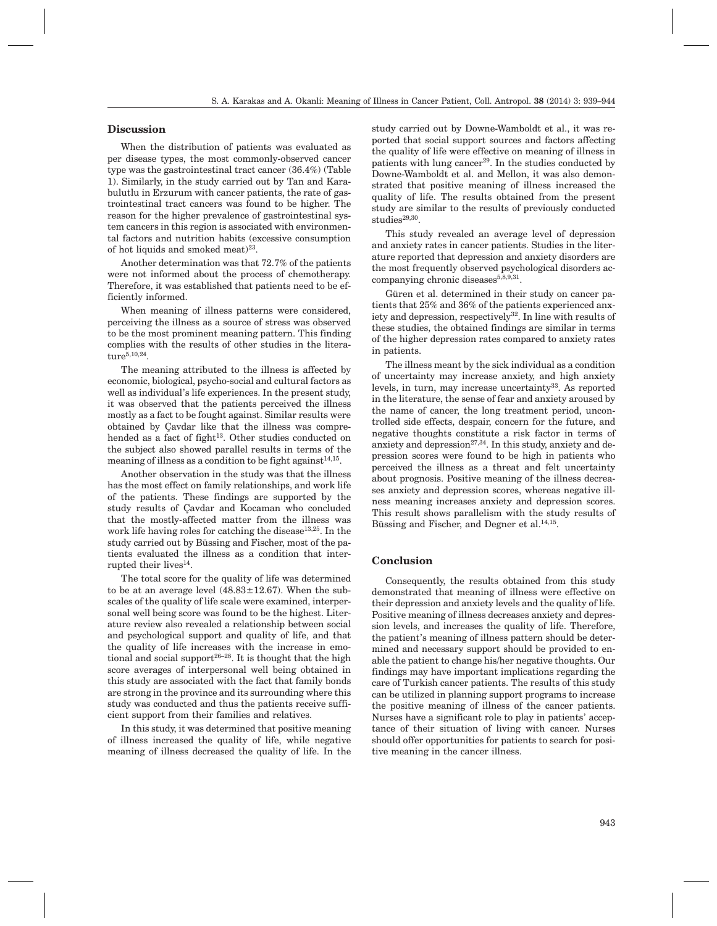## **Discussion**

When the distribution of patients was evaluated as per disease types, the most commonly-observed cancer type was the gastrointestinal tract cancer (36.4%) (Table 1). Similarly, in the study carried out by Tan and Karabulutlu in Erzurum with cancer patients, the rate of gastrointestinal tract cancers was found to be higher. The reason for the higher prevalence of gastrointestinal system cancers in this region is associated with environmental factors and nutrition habits (excessive consumption of hot liquids and smoked meat)<sup>23</sup>.

Another determination was that 72.7% of the patients were not informed about the process of chemotherapy. Therefore, it was established that patients need to be efficiently informed.

When meaning of illness patterns were considered, perceiving the illness as a source of stress was observed to be the most prominent meaning pattern. This finding complies with the results of other studies in the litera $ture^{5,10,24}$ 

The meaning attributed to the illness is affected by economic, biological, psycho-social and cultural factors as well as individual's life experiences. In the present study, it was observed that the patients perceived the illness mostly as a fact to be fought against. Similar results were obtained by Çavdar like that the illness was comprehended as a fact of fight<sup>13</sup>. Other studies conducted on the subject also showed parallel results in terms of the meaning of illness as a condition to be fight against<sup>14,15</sup>.

Another observation in the study was that the illness has the most effect on family relationships, and work life of the patients. These findings are supported by the study results of Çavdar and Kocaman who concluded that the mostly-affected matter from the illness was work life having roles for catching the disease<sup>13,25</sup>. In the study carried out by Büssing and Fischer, most of the patients evaluated the illness as a condition that interrupted their lives $^{14}$ .

The total score for the quality of life was determined to be at an average level  $(48.83 \pm 12.67)$ . When the subscales of the quality of life scale were examined, interpersonal well being score was found to be the highest. Literature review also revealed a relationship between social and psychological support and quality of life, and that the quality of life increases with the increase in emotional and social support<sup>26-28</sup>. It is thought that the high score averages of interpersonal well being obtained in this study are associated with the fact that family bonds are strong in the province and its surrounding where this study was conducted and thus the patients receive sufficient support from their families and relatives.

In this study, it was determined that positive meaning of illness increased the quality of life, while negative meaning of illness decreased the quality of life. In the study carried out by Downe-Wamboldt et al., it was reported that social support sources and factors affecting the quality of life were effective on meaning of illness in patients with lung cancer<sup>29</sup>. In the studies conducted by Downe-Wamboldt et al. and Mellon, it was also demonstrated that positive meaning of illness increased the quality of life. The results obtained from the present study are similar to the results of previously conducted studies $29,30$ .

This study revealed an average level of depression and anxiety rates in cancer patients. Studies in the literature reported that depression and anxiety disorders are the most frequently observed psychological disorders accompanying chronic diseases $5,8,9,31$ .

Güren et al. determined in their study on cancer patients that 25% and 36% of the patients experienced anxiety and depression, respectively<sup>32</sup>. In line with results of these studies, the obtained findings are similar in terms of the higher depression rates compared to anxiety rates in patients.

The illness meant by the sick individual as a condition of uncertainty may increase anxiety, and high anxiety levels, in turn, may increase uncertainty<sup>33</sup>. As reported in the literature, the sense of fear and anxiety aroused by the name of cancer, the long treatment period, uncontrolled side effects, despair, concern for the future, and negative thoughts constitute a risk factor in terms of anxiety and depression<sup>27,34</sup>. In this study, anxiety and depression scores were found to be high in patients who perceived the illness as a threat and felt uncertainty about prognosis. Positive meaning of the illness decreases anxiety and depression scores, whereas negative illness meaning increases anxiety and depression scores. This result shows parallelism with the study results of Büssing and Fischer, and Degner et al.<sup>14,15</sup>.

# **Conclusion**

Consequently, the results obtained from this study demonstrated that meaning of illness were effective on their depression and anxiety levels and the quality of life. Positive meaning of illness decreases anxiety and depression levels, and increases the quality of life. Therefore, the patient's meaning of illness pattern should be determined and necessary support should be provided to enable the patient to change his/her negative thoughts. Our findings may have important implications regarding the care of Turkish cancer patients. The results of this study can be utilized in planning support programs to increase the positive meaning of illness of the cancer patients. Nurses have a significant role to play in patients' acceptance of their situation of living with cancer. Nurses should offer opportunities for patients to search for positive meaning in the cancer illness.